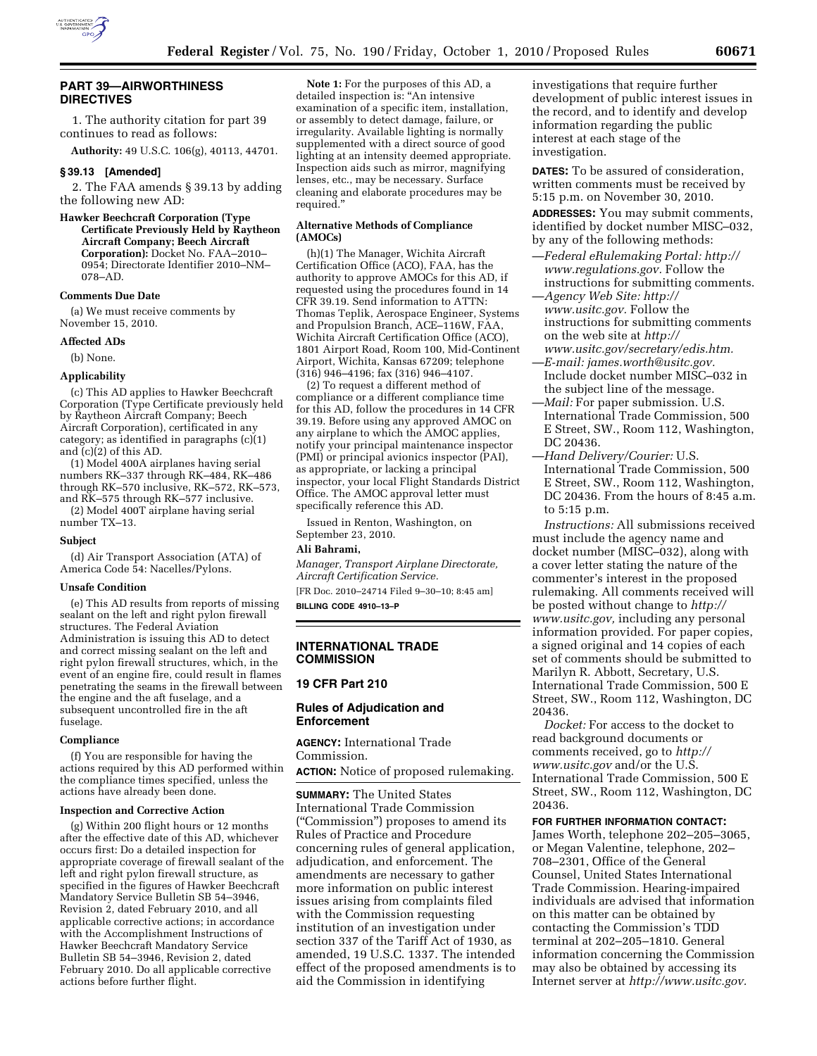

# **PART 39—AIRWORTHINESS DIRECTIVES**

1. The authority citation for part 39 continues to read as follows:

**Authority:** 49 U.S.C. 106(g), 40113, 44701.

#### **§ 39.13 [Amended]**

2. The FAA amends § 39.13 by adding the following new AD:

#### **Hawker Beechcraft Corporation (Type Certificate Previously Held by Raytheon Aircraft Company; Beech Aircraft Corporation):** Docket No. FAA–2010– 0954; Directorate Identifier 2010–NM– 078–AD.

## **Comments Due Date**

(a) We must receive comments by November 15, 2010.

#### **Affected ADs**

(b) None.

#### **Applicability**

(c) This AD applies to Hawker Beechcraft Corporation (Type Certificate previously held by Raytheon Aircraft Company; Beech Aircraft Corporation), certificated in any category; as identified in paragraphs  $(c)(1)$ and (c)(2) of this AD.

(1) Model 400A airplanes having serial numbers RK–337 through RK–484, RK–486 through RK–570 inclusive, RK–572, RK–573, and RK–575 through RK–577 inclusive. (2) Model 400T airplane having serial

number TX–13.

#### **Subject**

(d) Air Transport Association (ATA) of America Code 54: Nacelles/Pylons.

#### **Unsafe Condition**

(e) This AD results from reports of missing sealant on the left and right pylon firewall structures. The Federal Aviation Administration is issuing this AD to detect and correct missing sealant on the left and right pylon firewall structures, which, in the event of an engine fire, could result in flames penetrating the seams in the firewall between the engine and the aft fuselage, and a subsequent uncontrolled fire in the aft fuselage.

#### **Compliance**

(f) You are responsible for having the actions required by this AD performed within the compliance times specified, unless the actions have already been done.

#### **Inspection and Corrective Action**

(g) Within 200 flight hours or 12 months after the effective date of this AD, whichever occurs first: Do a detailed inspection for appropriate coverage of firewall sealant of the left and right pylon firewall structure, as specified in the figures of Hawker Beechcraft Mandatory Service Bulletin SB 54–3946, Revision 2, dated February 2010, and all applicable corrective actions; in accordance with the Accomplishment Instructions of Hawker Beechcraft Mandatory Service Bulletin SB 54–3946, Revision 2, dated February 2010. Do all applicable corrective actions before further flight.

**Note 1:** For the purposes of this AD, a detailed inspection is: ''An intensive examination of a specific item, installation, or assembly to detect damage, failure, or irregularity. Available lighting is normally supplemented with a direct source of good lighting at an intensity deemed appropriate. Inspection aids such as mirror, magnifying lenses, etc., may be necessary. Surface cleaning and elaborate procedures may be required.''

#### **Alternative Methods of Compliance (AMOCs)**

(h)(1) The Manager, Wichita Aircraft Certification Office (ACO), FAA, has the authority to approve AMOCs for this AD, if requested using the procedures found in 14 CFR 39.19. Send information to ATTN: Thomas Teplik, Aerospace Engineer, Systems and Propulsion Branch, ACE–116W, FAA, Wichita Aircraft Certification Office (ACO), 1801 Airport Road, Room 100, Mid-Continent Airport, Wichita, Kansas 67209; telephone (316) 946–4196; fax (316) 946–4107.

(2) To request a different method of compliance or a different compliance time for this AD, follow the procedures in 14 CFR 39.19. Before using any approved AMOC on any airplane to which the AMOC applies, notify your principal maintenance inspector (PMI) or principal avionics inspector (PAI), as appropriate, or lacking a principal inspector, your local Flight Standards District Office. The AMOC approval letter must specifically reference this AD.

Issued in Renton, Washington, on September 23, 2010.

# **Ali Bahrami,**

*Manager, Transport Airplane Directorate, Aircraft Certification Service.* 

[FR Doc. 2010–24714 Filed 9–30–10; 8:45 am] **BILLING CODE 4910–13–P** 

#### **INTERNATIONAL TRADE COMMISSION**

#### **19 CFR Part 210**

#### **Rules of Adjudication and Enforcement**

**AGENCY:** International Trade Commission.

**ACTION:** Notice of proposed rulemaking.

**SUMMARY:** The United States International Trade Commission (''Commission'') proposes to amend its Rules of Practice and Procedure concerning rules of general application, adjudication, and enforcement. The amendments are necessary to gather more information on public interest issues arising from complaints filed with the Commission requesting institution of an investigation under section 337 of the Tariff Act of 1930, as amended, 19 U.S.C. 1337. The intended effect of the proposed amendments is to aid the Commission in identifying

investigations that require further development of public interest issues in the record, and to identify and develop information regarding the public interest at each stage of the investigation.

**DATES:** To be assured of consideration, written comments must be received by 5:15 p.m. on November 30, 2010.

**ADDRESSES:** You may submit comments, identified by docket number MISC–032, by any of the following methods:

—*Federal eRulemaking Portal: [http://](http://www.regulations.gov)  [www.regulations.gov.](http://www.regulations.gov)* Follow the instructions for submitting comments.

—*Agency Web Site: [http://](http://www.usitc.gov)  [www.usitc.gov.](http://www.usitc.gov)* Follow the instructions for submitting comments on the web site at *[http://](http://www.usitc.gov/secretary/edis.htm)* 

- *[www.usitc.gov/secretary/edis.htm.](http://www.usitc.gov/secretary/edis.htm)*  —*E-mail: [james.worth@usitc.gov.](mailto:james.worth@usitc.gov)*  Include docket number MISC–032 in the subject line of the message.
- —*Mail:* For paper submission. U.S. International Trade Commission, 500 E Street, SW., Room 112, Washington, DC 20436.
- —*Hand Delivery/Courier:* U.S. International Trade Commission, 500 E Street, SW., Room 112, Washington, DC 20436. From the hours of 8:45 a.m. to 5:15 p.m.

*Instructions:* All submissions received must include the agency name and docket number (MISC–032), along with a cover letter stating the nature of the commenter's interest in the proposed rulemaking. All comments received will be posted without change to *[http://](http://www.usitc.gov) [www.usitc.gov,](http://www.usitc.gov)* including any personal information provided. For paper copies, a signed original and 14 copies of each set of comments should be submitted to Marilyn R. Abbott, Secretary, U.S. International Trade Commission, 500 E Street, SW., Room 112, Washington, DC 20436.

*Docket:* For access to the docket to read background documents or comments received, go to *[http://](http://www.usitc.gov)  [www.usitc.gov](http://www.usitc.gov)* and/or the U.S. International Trade Commission, 500 E Street, SW., Room 112, Washington, DC 20436.

# **FOR FURTHER INFORMATION CONTACT:**

James Worth, telephone 202–205–3065, or Megan Valentine, telephone, 202– 708–2301, Office of the General Counsel, United States International Trade Commission. Hearing-impaired individuals are advised that information on this matter can be obtained by contacting the Commission's TDD terminal at 202–205–1810. General information concerning the Commission may also be obtained by accessing its Internet server at *[http://www.usitc.gov.](http://www.usitc.gov)*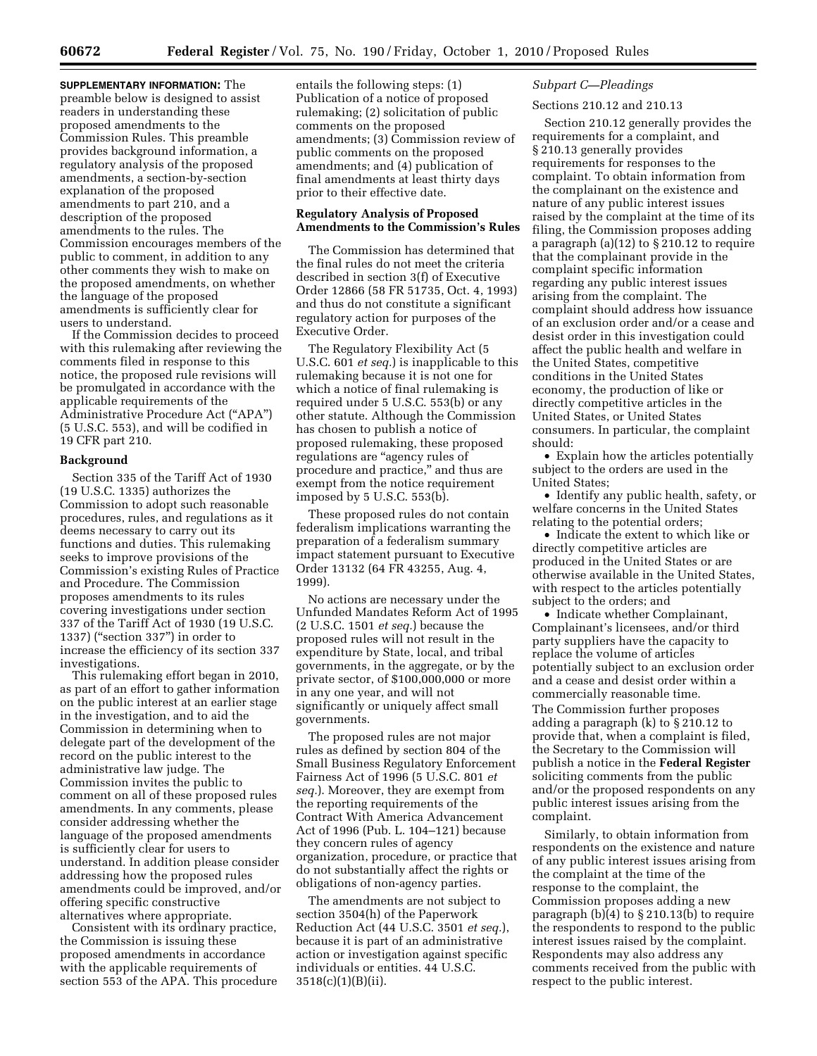**SUPPLEMENTARY INFORMATION:** The preamble below is designed to assist readers in understanding these proposed amendments to the Commission Rules. This preamble provides background information, a regulatory analysis of the proposed amendments, a section-by-section explanation of the proposed amendments to part 210, and a description of the proposed amendments to the rules. The Commission encourages members of the public to comment, in addition to any other comments they wish to make on the proposed amendments, on whether the language of the proposed amendments is sufficiently clear for users to understand.

If the Commission decides to proceed with this rulemaking after reviewing the comments filed in response to this notice, the proposed rule revisions will be promulgated in accordance with the applicable requirements of the Administrative Procedure Act (''APA'') (5 U.S.C. 553), and will be codified in 19 CFR part 210.

## **Background**

Section 335 of the Tariff Act of 1930 (19 U.S.C. 1335) authorizes the Commission to adopt such reasonable procedures, rules, and regulations as it deems necessary to carry out its functions and duties. This rulemaking seeks to improve provisions of the Commission's existing Rules of Practice and Procedure. The Commission proposes amendments to its rules covering investigations under section 337 of the Tariff Act of 1930 (19 U.S.C. 1337) (''section 337'') in order to increase the efficiency of its section 337 investigations.

This rulemaking effort began in 2010, as part of an effort to gather information on the public interest at an earlier stage in the investigation, and to aid the Commission in determining when to delegate part of the development of the record on the public interest to the administrative law judge. The Commission invites the public to comment on all of these proposed rules amendments. In any comments, please consider addressing whether the language of the proposed amendments is sufficiently clear for users to understand. In addition please consider addressing how the proposed rules amendments could be improved, and/or offering specific constructive alternatives where appropriate.

Consistent with its ordinary practice, the Commission is issuing these proposed amendments in accordance with the applicable requirements of section 553 of the APA. This procedure entails the following steps: (1) Publication of a notice of proposed rulemaking; (2) solicitation of public comments on the proposed amendments; (3) Commission review of public comments on the proposed amendments; and (4) publication of final amendments at least thirty days prior to their effective date.

# **Regulatory Analysis of Proposed Amendments to the Commission's Rules**

The Commission has determined that the final rules do not meet the criteria described in section 3(f) of Executive Order 12866 (58 FR 51735, Oct. 4, 1993) and thus do not constitute a significant regulatory action for purposes of the Executive Order.

The Regulatory Flexibility Act (5 U.S.C. 601 *et seq.*) is inapplicable to this rulemaking because it is not one for which a notice of final rulemaking is required under 5 U.S.C. 553(b) or any other statute. Although the Commission has chosen to publish a notice of proposed rulemaking, these proposed regulations are ''agency rules of procedure and practice,'' and thus are exempt from the notice requirement imposed by 5 U.S.C. 553(b).

These proposed rules do not contain federalism implications warranting the preparation of a federalism summary impact statement pursuant to Executive Order 13132 (64 FR 43255, Aug. 4, 1999).

No actions are necessary under the Unfunded Mandates Reform Act of 1995 (2 U.S.C. 1501 *et seq.*) because the proposed rules will not result in the expenditure by State, local, and tribal governments, in the aggregate, or by the private sector, of \$100,000,000 or more in any one year, and will not significantly or uniquely affect small governments.

The proposed rules are not major rules as defined by section 804 of the Small Business Regulatory Enforcement Fairness Act of 1996 (5 U.S.C. 801 *et seq.*). Moreover, they are exempt from the reporting requirements of the Contract With America Advancement Act of 1996 (Pub. L. 104–121) because they concern rules of agency organization, procedure, or practice that do not substantially affect the rights or obligations of non-agency parties.

The amendments are not subject to section 3504(h) of the Paperwork Reduction Act (44 U.S.C. 3501 *et seq.*), because it is part of an administrative action or investigation against specific individuals or entities. 44 U.S.C. 3518(c)(1)(B)(ii).

## *Subpart C—Pleadings*

## Sections 210.12 and 210.13

Section 210.12 generally provides the requirements for a complaint, and § 210.13 generally provides requirements for responses to the complaint. To obtain information from the complainant on the existence and nature of any public interest issues raised by the complaint at the time of its filing, the Commission proposes adding a paragraph (a)(12) to § 210.12 to require that the complainant provide in the complaint specific information regarding any public interest issues arising from the complaint. The complaint should address how issuance of an exclusion order and/or a cease and desist order in this investigation could affect the public health and welfare in the United States, competitive conditions in the United States economy, the production of like or directly competitive articles in the United States, or United States consumers. In particular, the complaint should:

• Explain how the articles potentially subject to the orders are used in the United States;

• Identify any public health, safety, or welfare concerns in the United States relating to the potential orders;

• Indicate the extent to which like or directly competitive articles are produced in the United States or are otherwise available in the United States, with respect to the articles potentially subject to the orders; and

• Indicate whether Complainant, Complainant's licensees, and/or third party suppliers have the capacity to replace the volume of articles potentially subject to an exclusion order and a cease and desist order within a commercially reasonable time. The Commission further proposes adding a paragraph (k) to § 210.12 to provide that, when a complaint is filed, the Secretary to the Commission will publish a notice in the **Federal Register**  soliciting comments from the public and/or the proposed respondents on any public interest issues arising from the complaint.

Similarly, to obtain information from respondents on the existence and nature of any public interest issues arising from the complaint at the time of the response to the complaint, the Commission proposes adding a new paragraph (b)(4) to § 210.13(b) to require the respondents to respond to the public interest issues raised by the complaint. Respondents may also address any comments received from the public with respect to the public interest.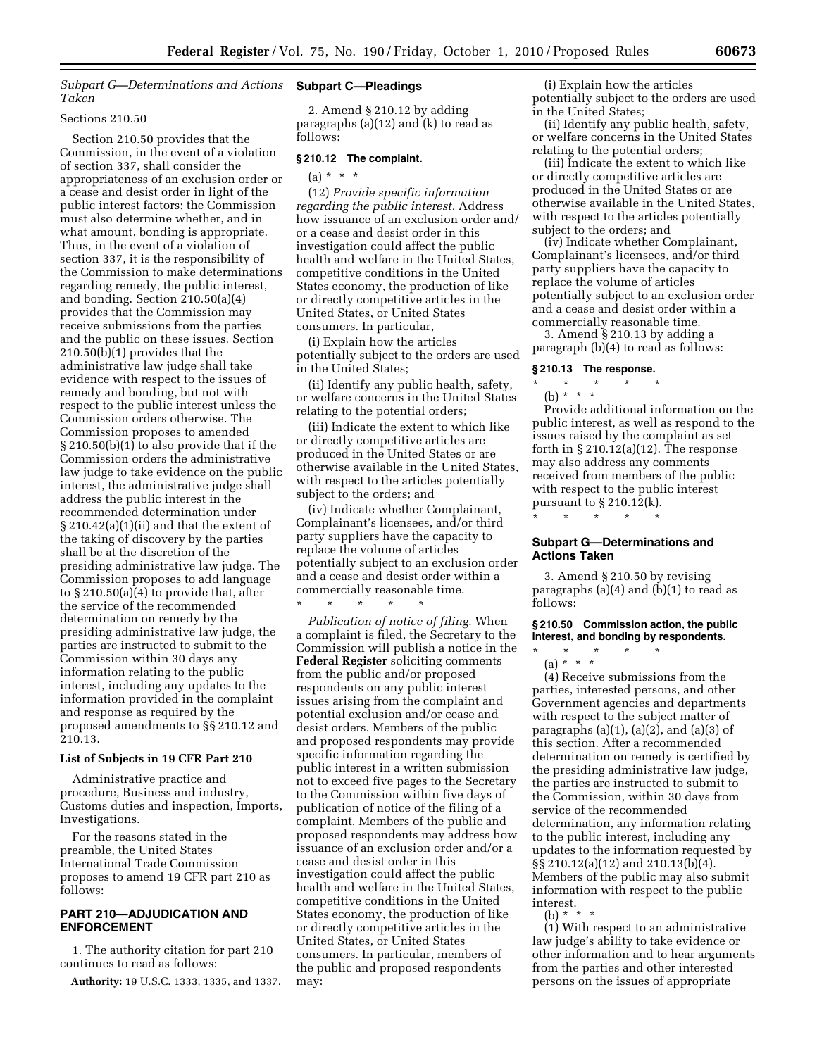*Subpart G—Determinations and Actions*  **Subpart C—Pleadings**  *Taken* 

## Sections 210.50

Section 210.50 provides that the Commission, in the event of a violation of section 337, shall consider the appropriateness of an exclusion order or a cease and desist order in light of the public interest factors; the Commission must also determine whether, and in what amount, bonding is appropriate. Thus, in the event of a violation of section 337, it is the responsibility of the Commission to make determinations regarding remedy, the public interest, and bonding. Section 210.50(a)(4) provides that the Commission may receive submissions from the parties and the public on these issues. Section 210.50(b)(1) provides that the administrative law judge shall take evidence with respect to the issues of remedy and bonding, but not with respect to the public interest unless the Commission orders otherwise. The Commission proposes to amended § 210.50(b)(1) to also provide that if the Commission orders the administrative law judge to take evidence on the public interest, the administrative judge shall address the public interest in the recommended determination under § 210.42(a)(1)(ii) and that the extent of the taking of discovery by the parties shall be at the discretion of the presiding administrative law judge. The Commission proposes to add language to  $\S 210.50(a)(4)$  to provide that, after the service of the recommended determination on remedy by the presiding administrative law judge, the parties are instructed to submit to the Commission within 30 days any information relating to the public interest, including any updates to the information provided in the complaint and response as required by the proposed amendments to §§ 210.12 and 210.13.

#### **List of Subjects in 19 CFR Part 210**

Administrative practice and procedure, Business and industry, Customs duties and inspection, Imports, Investigations.

For the reasons stated in the preamble, the United States International Trade Commission proposes to amend 19 CFR part 210 as follows:

# **PART 210—ADJUDICATION AND ENFORCEMENT**

1. The authority citation for part 210 continues to read as follows:

**Authority:** 19 U.S.C. 1333, 1335, and 1337.

2. Amend § 210.12 by adding paragraphs (a)(12) and (k) to read as follows:

## **§ 210.12 The complaint.**

 $(a) * * * *$ 

(12) *Provide specific information regarding the public interest.* Address how issuance of an exclusion order and/ or a cease and desist order in this investigation could affect the public health and welfare in the United States, competitive conditions in the United States economy, the production of like or directly competitive articles in the United States, or United States consumers. In particular,

(i) Explain how the articles potentially subject to the orders are used in the United States;

(ii) Identify any public health, safety, or welfare concerns in the United States relating to the potential orders;

(iii) Indicate the extent to which like or directly competitive articles are produced in the United States or are otherwise available in the United States, with respect to the articles potentially subject to the orders; and

(iv) Indicate whether Complainant, Complainant's licensees, and/or third party suppliers have the capacity to replace the volume of articles potentially subject to an exclusion order and a cease and desist order within a commercially reasonable time.

\* \* \* \* \*

*Publication of notice of filing.* When a complaint is filed, the Secretary to the Commission will publish a notice in the **Federal Register** soliciting comments from the public and/or proposed respondents on any public interest issues arising from the complaint and potential exclusion and/or cease and desist orders. Members of the public and proposed respondents may provide specific information regarding the public interest in a written submission not to exceed five pages to the Secretary to the Commission within five days of publication of notice of the filing of a complaint. Members of the public and proposed respondents may address how issuance of an exclusion order and/or a cease and desist order in this investigation could affect the public health and welfare in the United States, competitive conditions in the United States economy, the production of like or directly competitive articles in the United States, or United States consumers. In particular, members of the public and proposed respondents may:

(i) Explain how the articles potentially subject to the orders are used in the United States;

(ii) Identify any public health, safety, or welfare concerns in the United States relating to the potential orders;

(iii) Indicate the extent to which like or directly competitive articles are produced in the United States or are otherwise available in the United States, with respect to the articles potentially subject to the orders; and

(iv) Indicate whether Complainant, Complainant's licensees, and/or third party suppliers have the capacity to replace the volume of articles potentially subject to an exclusion order and a cease and desist order within a commercially reasonable time.

3. Amend § 210.13 by adding a paragraph (b)(4) to read as follows:

#### **§ 210.13 The response.**

\* \* \* \* \*

(b) \* \* \* Provide additional information on the public interest, as well as respond to the issues raised by the complaint as set forth in  $\S 210.12(a)(12)$ . The response may also address any comments received from members of the public with respect to the public interest pursuant to  $\S 210.12(k)$ . \* \* \* \* \*

## **Subpart G—Determinations and Actions Taken**

3. Amend § 210.50 by revising paragraphs (a)(4) and (b)(1) to read as follows:

#### **§ 210.50 Commission action, the public interest, and bonding by respondents.**

\* \* \* \* \* (a) \* \* \*

(4) Receive submissions from the parties, interested persons, and other Government agencies and departments with respect to the subject matter of paragraphs  $(a)(1)$ ,  $(a)(2)$ , and  $(a)(3)$  of this section. After a recommended determination on remedy is certified by the presiding administrative law judge, the parties are instructed to submit to the Commission, within 30 days from service of the recommended determination, any information relating to the public interest, including any updates to the information requested by §§ 210.12(a)(12) and 210.13(b)(4). Members of the public may also submit information with respect to the public interest.

(b) \* \* \*

(1) With respect to an administrative law judge's ability to take evidence or other information and to hear arguments from the parties and other interested persons on the issues of appropriate